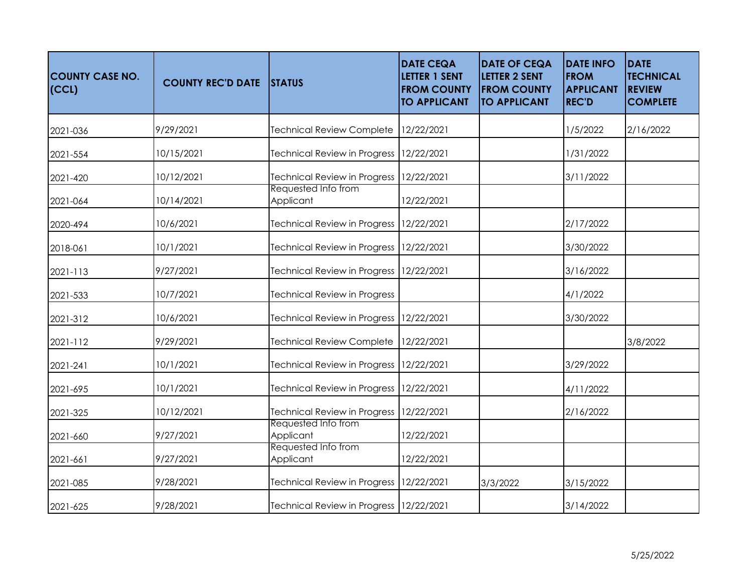| <b>COUNTY CASE NO.</b><br>  (CCL) | <b>COUNTY REC'D DATE</b> | <b>STATUS</b>                           | <b>DATE CEQA</b><br><b>LETTER 1 SENT</b><br><b>FROM COUNTY</b><br><b>TO APPLICANT</b> | <b>DATE OF CEQA</b><br><b>LETTER 2 SENT</b><br><b>FROM COUNTY</b><br><b>TO APPLICANT</b> | <b>DATE INFO</b><br><b>FROM</b><br><b>APPLICANT</b><br><b>REC'D</b> | <b>DATE</b><br><b>TECHNICAL</b><br><b>REVIEW</b><br><b>COMPLETE</b> |
|-----------------------------------|--------------------------|-----------------------------------------|---------------------------------------------------------------------------------------|------------------------------------------------------------------------------------------|---------------------------------------------------------------------|---------------------------------------------------------------------|
| 2021-036                          | 9/29/2021                | <b>Technical Review Complete</b>        | 12/22/2021                                                                            |                                                                                          | 1/5/2022                                                            | 2/16/2022                                                           |
| 2021-554                          | 10/15/2021               | <b>Technical Review in Progress</b>     | 12/22/2021                                                                            |                                                                                          | 1/31/2022                                                           |                                                                     |
| 2021-420                          | 10/12/2021               | <b>Technical Review in Progress</b>     | 12/22/2021                                                                            |                                                                                          | 3/11/2022                                                           |                                                                     |
| 2021-064                          | 10/14/2021               | Requested Info from<br>Applicant        | 12/22/2021                                                                            |                                                                                          |                                                                     |                                                                     |
| 2020-494                          | 10/6/2021                | <b>Technical Review in Progress</b>     | 12/22/2021                                                                            |                                                                                          | 2/17/2022                                                           |                                                                     |
| 2018-061                          | 10/1/2021                | Technical Review in Progress 12/22/2021 |                                                                                       |                                                                                          | 3/30/2022                                                           |                                                                     |
| 2021-113                          | 9/27/2021                | <b>Technical Review in Progress</b>     | 12/22/2021                                                                            |                                                                                          | 3/16/2022                                                           |                                                                     |
| 2021-533                          | 10/7/2021                | <b>Technical Review in Progress</b>     |                                                                                       |                                                                                          | 4/1/2022                                                            |                                                                     |
| 2021-312                          | 10/6/2021                | <b>Technical Review in Progress</b>     | 12/22/2021                                                                            |                                                                                          | 3/30/2022                                                           |                                                                     |
| 2021-112                          | 9/29/2021                | <b>Technical Review Complete</b>        | 12/22/2021                                                                            |                                                                                          |                                                                     | 3/8/2022                                                            |
| 2021-241                          | 10/1/2021                | <b>Technical Review in Progress</b>     | 12/22/2021                                                                            |                                                                                          | 3/29/2022                                                           |                                                                     |
| 2021-695                          | 10/1/2021                | <b>Technical Review in Progress</b>     | 12/22/2021                                                                            |                                                                                          | 4/11/2022                                                           |                                                                     |
| 2021-325                          | 10/12/2021               | <b>Technical Review in Progress</b>     | 12/22/2021                                                                            |                                                                                          | 2/16/2022                                                           |                                                                     |
| 2021-660                          | 9/27/2021                | Requested Info from<br>Applicant        | 12/22/2021                                                                            |                                                                                          |                                                                     |                                                                     |
| 2021-661                          | 9/27/2021                | Requested Info from<br>Applicant        | 12/22/2021                                                                            |                                                                                          |                                                                     |                                                                     |
| 2021-085                          | 9/28/2021                | <b>Technical Review in Progress</b>     | 12/22/2021                                                                            | 3/3/2022                                                                                 | 3/15/2022                                                           |                                                                     |
| 2021-625                          | 9/28/2021                | Technical Review in Progress 12/22/2021 |                                                                                       |                                                                                          | 3/14/2022                                                           |                                                                     |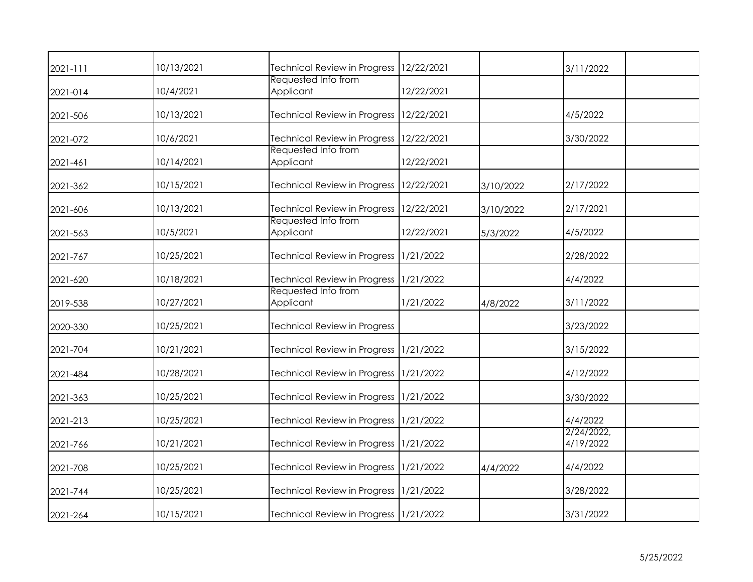| 2021-111 | 10/13/2021 | <b>Technical Review in Progress</b>    | 12/22/2021 |           | 3/11/2022               |  |
|----------|------------|----------------------------------------|------------|-----------|-------------------------|--|
| 2021-014 | 10/4/2021  | Requested Info from<br>Applicant       | 12/22/2021 |           |                         |  |
| 2021-506 | 10/13/2021 | <b>Technical Review in Progress</b>    | 12/22/2021 |           | 4/5/2022                |  |
| 2021-072 | 10/6/2021  | <b>Technical Review in Progress</b>    | 12/22/2021 |           | 3/30/2022               |  |
| 2021-461 | 10/14/2021 | Requested Info from<br>Applicant       | 12/22/2021 |           |                         |  |
| 2021-362 | 10/15/2021 | <b>Technical Review in Progress</b>    | 12/22/2021 | 3/10/2022 | 2/17/2022               |  |
| 2021-606 | 10/13/2021 | <b>Technical Review in Progress</b>    | 12/22/2021 | 3/10/2022 | 2/17/2021               |  |
| 2021-563 | 10/5/2021  | Requested Info from<br>Applicant       | 12/22/2021 | 5/3/2022  | 4/5/2022                |  |
| 2021-767 | 10/25/2021 | <b>Technical Review in Progress</b>    | 1/21/2022  |           | 2/28/2022               |  |
| 2021-620 | 10/18/2021 | Technical Review in Progress 1/21/2022 |            |           | 4/4/2022                |  |
| 2019-538 | 10/27/2021 | Requested Info from<br>Applicant       | 1/21/2022  | 4/8/2022  | 3/11/2022               |  |
| 2020-330 | 10/25/2021 | <b>Technical Review in Progress</b>    |            |           | 3/23/2022               |  |
| 2021-704 | 10/21/2021 | Technical Review in Progress 1/21/2022 |            |           | 3/15/2022               |  |
| 2021-484 | 10/28/2021 | Technical Review in Progress           | 1/21/2022  |           | 4/12/2022               |  |
| 2021-363 | 10/25/2021 | Technical Review in Progress           | 1/21/2022  |           | 3/30/2022               |  |
| 2021-213 | 10/25/2021 | <b>Technical Review in Progress</b>    | 1/21/2022  |           | 4/4/2022                |  |
| 2021-766 | 10/21/2021 | Technical Review in Progress 1/21/2022 |            |           | 2/24/2022,<br>4/19/2022 |  |
| 2021-708 | 10/25/2021 | <b>Technical Review in Progress</b>    | 1/21/2022  | 4/4/2022  | 4/4/2022                |  |
| 2021-744 | 10/25/2021 | Technical Review in Progress 1/21/2022 |            |           | 3/28/2022               |  |
| 2021-264 | 10/15/2021 | Technical Review in Progress 1/21/2022 |            |           | 3/31/2022               |  |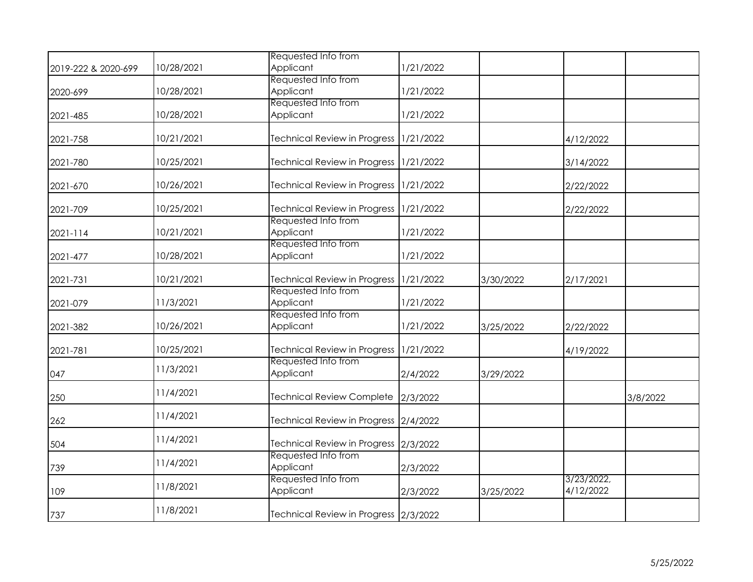|                     |            | Requested Info from                    |           |           |                         |          |
|---------------------|------------|----------------------------------------|-----------|-----------|-------------------------|----------|
| 2019-222 & 2020-699 | 10/28/2021 | Applicant                              | 1/21/2022 |           |                         |          |
| 2020-699            | 10/28/2021 | Requested Info from<br>Applicant       | 1/21/2022 |           |                         |          |
| 2021-485            | 10/28/2021 | Requested Info from<br>Applicant       | 1/21/2022 |           |                         |          |
| 2021-758            | 10/21/2021 | <b>Technical Review in Progress</b>    | 1/21/2022 |           | 4/12/2022               |          |
| 2021-780            | 10/25/2021 | Technical Review in Progress           | 1/21/2022 |           | 3/14/2022               |          |
| 2021-670            | 10/26/2021 | Technical Review in Progress 1/21/2022 |           |           | 2/22/2022               |          |
| 2021-709            | 10/25/2021 | <b>Technical Review in Progress</b>    | 1/21/2022 |           | 2/22/2022               |          |
| $2021 - 114$        | 10/21/2021 | Requested Info from<br>Applicant       | 1/21/2022 |           |                         |          |
| 2021-477            | 10/28/2021 | Requested Info from<br>Applicant       | 1/21/2022 |           |                         |          |
| 2021-731            | 10/21/2021 | <b>Technical Review in Progress</b>    | 1/21/2022 | 3/30/2022 | 2/17/2021               |          |
| 2021-079            | 11/3/2021  | Requested Info from<br>Applicant       | 1/21/2022 |           |                         |          |
| 2021-382            | 10/26/2021 | Requested Info from<br>Applicant       | 1/21/2022 | 3/25/2022 | 2/22/2022               |          |
| 2021-781            | 10/25/2021 | Technical Review in Progress 1/21/2022 |           |           | 4/19/2022               |          |
| 047                 | 11/3/2021  | Requested Info from<br>Applicant       | 2/4/2022  | 3/29/2022 |                         |          |
| 250                 | 11/4/2021  | <b>Technical Review Complete</b>       | 2/3/2022  |           |                         | 3/8/2022 |
| 262                 | 11/4/2021  | Technical Review in Progress 2/4/2022  |           |           |                         |          |
| 504                 | 11/4/2021  | Technical Review in Progress 2/3/2022  |           |           |                         |          |
| 739                 | 11/4/2021  | Requested Info from<br>Applicant       | 2/3/2022  |           |                         |          |
| 109                 | 11/8/2021  | Requested Info from<br>Applicant       | 2/3/2022  | 3/25/2022 | 3/23/2022,<br>4/12/2022 |          |
| 737                 | 11/8/2021  | Technical Review in Progress 2/3/2022  |           |           |                         |          |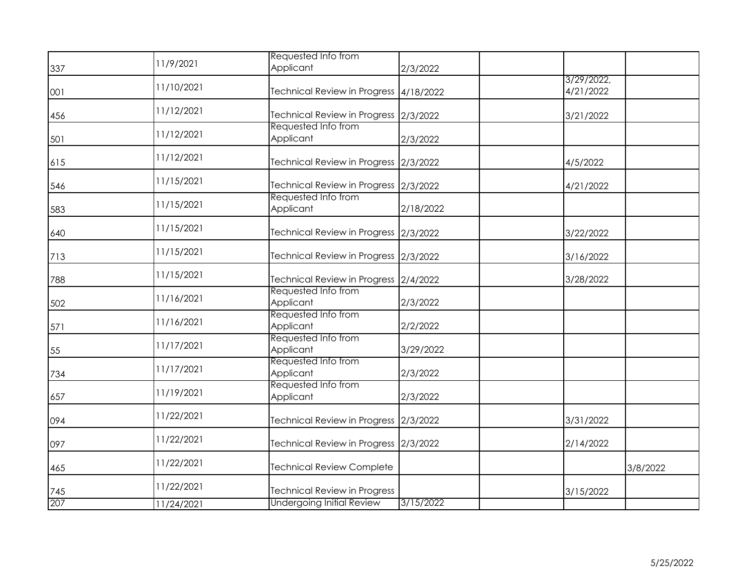| 337 | 11/9/2021  | Requested Info from<br>Applicant       | 2/3/2022  |                         |          |
|-----|------------|----------------------------------------|-----------|-------------------------|----------|
| 001 | 11/10/2021 | Technical Review in Progress 4/18/2022 |           | 3/29/2022,<br>4/21/2022 |          |
| 456 | 11/12/2021 | Technical Review in Progress 2/3/2022  |           | 3/21/2022               |          |
| 501 | 11/12/2021 | Requested Info from<br>Applicant       | 2/3/2022  |                         |          |
| 615 | 11/12/2021 | Technical Review in Progress 2/3/2022  |           | 4/5/2022                |          |
| 546 | 11/15/2021 | Technical Review in Progress 2/3/2022  |           | 4/21/2022               |          |
| 583 | 11/15/2021 | Requested Info from<br>Applicant       | 2/18/2022 |                         |          |
| 640 | 11/15/2021 | Technical Review in Progress 2/3/2022  |           | 3/22/2022               |          |
| 713 | 11/15/2021 | Technical Review in Progress 2/3/2022  |           | 3/16/2022               |          |
| 788 | 11/15/2021 | Technical Review in Progress 2/4/2022  |           | 3/28/2022               |          |
| 502 | 11/16/2021 | Requested Info from<br>Applicant       | 2/3/2022  |                         |          |
| 571 | 11/16/2021 | Requested Info from<br>Applicant       | 2/2/2022  |                         |          |
| 55  | 11/17/2021 | Requested Info from<br>Applicant       | 3/29/2022 |                         |          |
| 734 | 11/17/2021 | Requested Info from<br>Applicant       | 2/3/2022  |                         |          |
| 657 | 11/19/2021 | Requested Info from<br>Applicant       | 2/3/2022  |                         |          |
| 094 | 11/22/2021 | Technical Review in Progress 2/3/2022  |           | 3/31/2022               |          |
| 097 | 11/22/2021 | Technical Review in Progress 2/3/2022  |           | 2/14/2022               |          |
| 465 | 11/22/2021 | <b>Technical Review Complete</b>       |           |                         | 3/8/2022 |
| 745 | 11/22/2021 | <b>Technical Review in Progress</b>    |           | 3/15/2022               |          |
| 207 | 11/24/2021 | <b>Undergoing Initial Review</b>       | 3/15/2022 |                         |          |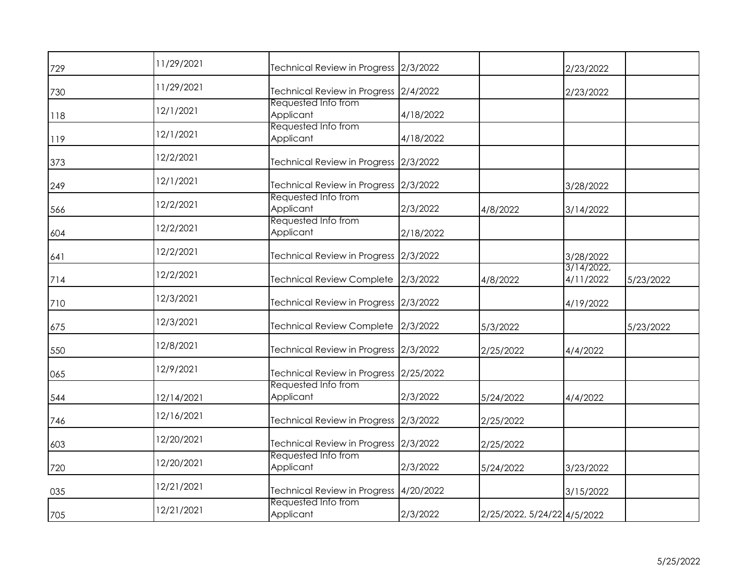| 729 | 11/29/2021 | Technical Review in Progress 2/3/2022  |           |                             | 2/23/2022              |           |
|-----|------------|----------------------------------------|-----------|-----------------------------|------------------------|-----------|
| 730 | 11/29/2021 | Technical Review in Progress 2/4/2022  |           |                             | 2/23/2022              |           |
| 118 | 12/1/2021  | Requested Info from<br>Applicant       | 4/18/2022 |                             |                        |           |
| 119 | 12/1/2021  | Requested Info from<br>Applicant       | 4/18/2022 |                             |                        |           |
| 373 | 12/2/2021  | Technical Review in Progress 2/3/2022  |           |                             |                        |           |
| 249 | 12/1/2021  | Technical Review in Progress 2/3/2022  |           |                             | 3/28/2022              |           |
| 566 | 12/2/2021  | Requested Info from<br>Applicant       | 2/3/2022  | 4/8/2022                    | 3/14/2022              |           |
| 604 | 12/2/2021  | Requested Info from<br>Applicant       | 2/18/2022 |                             |                        |           |
| 641 | 12/2/2021  | Technical Review in Progress 2/3/2022  |           |                             | 3/28/2022              |           |
| 714 | 12/2/2021  | <b>Technical Review Complete</b>       | 2/3/2022  | 4/8/2022                    | 3/14/2022<br>4/11/2022 | 5/23/2022 |
| 710 | 12/3/2021  | Technical Review in Progress 2/3/2022  |           |                             | 4/19/2022              |           |
| 675 | 12/3/2021  | Technical Review Complete 2/3/2022     |           | 5/3/2022                    |                        | 5/23/2022 |
| 550 | 12/8/2021  | Technical Review in Progress 2/3/2022  |           | 2/25/2022                   | 4/4/2022               |           |
| 065 | 12/9/2021  | Technical Review in Progress 2/25/2022 |           |                             |                        |           |
| 544 | 12/14/2021 | Requested Info from<br>Applicant       | 2/3/2022  | 5/24/2022                   | 4/4/2022               |           |
| 746 | 12/16/2021 | Technical Review in Progress 2/3/2022  |           | 2/25/2022                   |                        |           |
| 603 | 12/20/2021 | Technical Review in Progress 2/3/2022  |           | 2/25/2022                   |                        |           |
| 720 | 12/20/2021 | Requested Info from<br>Applicant       | 2/3/2022  | 5/24/2022                   | 3/23/2022              |           |
| 035 | 12/21/2021 | Technical Review in Progress 4/20/2022 |           |                             | 3/15/2022              |           |
| 705 | 12/21/2021 | Requested Info from<br>Applicant       | 2/3/2022  | 2/25/2022, 5/24/22 4/5/2022 |                        |           |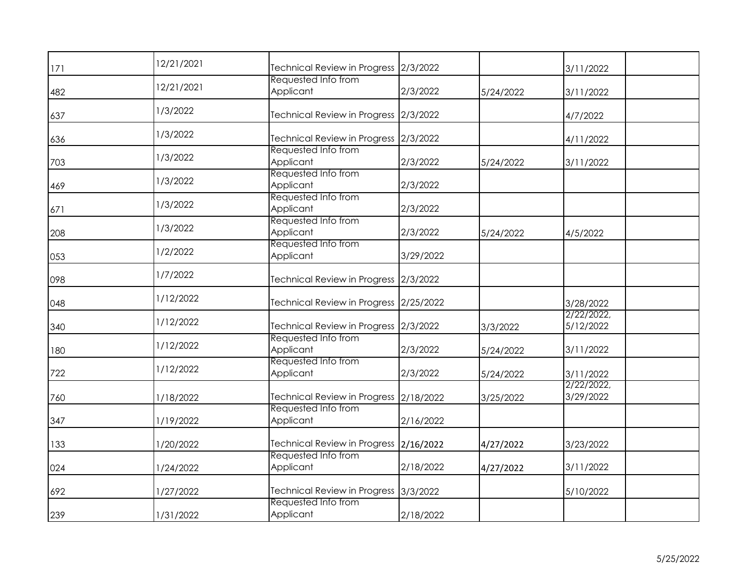| 171 | 12/21/2021 | Technical Review in Progress 2/3/2022  |           |           | 3/11/2022               |  |
|-----|------------|----------------------------------------|-----------|-----------|-------------------------|--|
| 482 | 12/21/2021 | Requested Info from<br>Applicant       | 2/3/2022  | 5/24/2022 | 3/11/2022               |  |
| 637 | 1/3/2022   | Technical Review in Progress 2/3/2022  |           |           | 4/7/2022                |  |
| 636 | 1/3/2022   | Technical Review in Progress 2/3/2022  |           |           | 4/11/2022               |  |
| 703 | 1/3/2022   | Requested Info from<br>Applicant       | 2/3/2022  | 5/24/2022 | 3/11/2022               |  |
| 469 | 1/3/2022   | Requested Info from<br>Applicant       | 2/3/2022  |           |                         |  |
| 671 | 1/3/2022   | Requested Info from<br>Applicant       | 2/3/2022  |           |                         |  |
| 208 | 1/3/2022   | Requested Info from<br>Applicant       | 2/3/2022  | 5/24/2022 | 4/5/2022                |  |
| 053 | 1/2/2022   | Requested Info from<br>Applicant       | 3/29/2022 |           |                         |  |
| 098 | 1/7/2022   | Technical Review in Progress 2/3/2022  |           |           |                         |  |
| 048 | 1/12/2022  | Technical Review in Progress 2/25/2022 |           |           | 3/28/2022               |  |
| 340 | 1/12/2022  | Technical Review in Progress 2/3/2022  |           | 3/3/2022  | 2/22/2022,<br>5/12/2022 |  |
| 180 | 1/12/2022  | Requested Info from<br>Applicant       | 2/3/2022  | 5/24/2022 | 3/11/2022               |  |
| 722 | 1/12/2022  | Requested Info from<br>Applicant       | 2/3/2022  | 5/24/2022 | 3/11/2022               |  |
| 760 | 1/18/2022  | Technical Review in Progress 2/18/2022 |           | 3/25/2022 | 2/22/2022,<br>3/29/2022 |  |
| 347 | 1/19/2022  | Requested Info from<br>Applicant       | 2/16/2022 |           |                         |  |
| 133 | 1/20/2022  | Technical Review in Progress 2/16/2022 |           | 4/27/2022 | 3/23/2022               |  |
| 024 | 1/24/2022  | Requested Info from<br>Applicant       | 2/18/2022 | 4/27/2022 | 3/11/2022               |  |
| 692 | 1/27/2022  | Technical Review in Progress 3/3/2022  |           |           | 5/10/2022               |  |
| 239 | 1/31/2022  | Requested Info from<br>Applicant       | 2/18/2022 |           |                         |  |
|     |            |                                        |           |           |                         |  |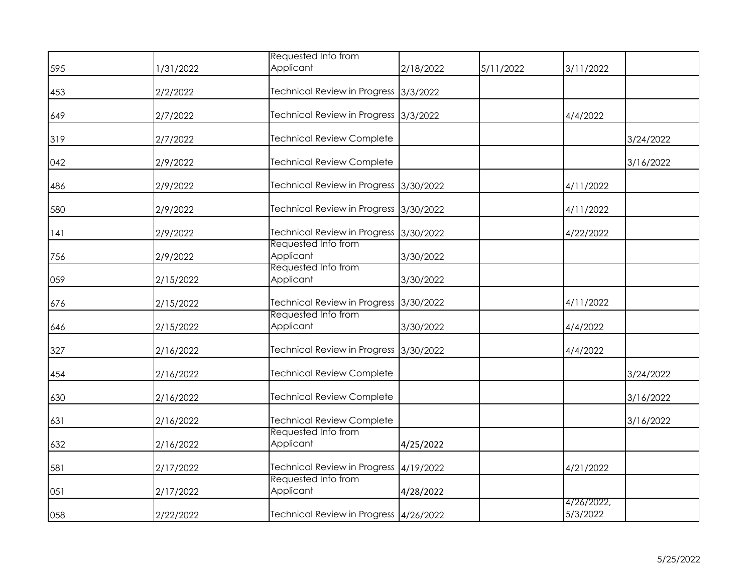|     |           | Requested Info from                                           |           |           |                        |           |
|-----|-----------|---------------------------------------------------------------|-----------|-----------|------------------------|-----------|
| 595 | 1/31/2022 | Applicant                                                     | 2/18/2022 | 5/11/2022 | 3/11/2022              |           |
| 453 | 2/2/2022  | Technical Review in Progress 3/3/2022                         |           |           |                        |           |
| 649 | 2/7/2022  | Technical Review in Progress 3/3/2022                         |           |           | 4/4/2022               |           |
| 319 | 2/7/2022  | <b>Technical Review Complete</b>                              |           |           |                        | 3/24/2022 |
| 042 | 2/9/2022  | <b>Technical Review Complete</b>                              |           |           |                        | 3/16/2022 |
| 486 | 2/9/2022  | Technical Review in Progress 3/30/2022                        |           |           | 4/11/2022              |           |
| 580 | 2/9/2022  | Technical Review in Progress 3/30/2022                        |           |           | 4/11/2022              |           |
| 141 | 2/9/2022  | Technical Review in Progress 3/30/2022<br>Requested Info from |           |           | 4/22/2022              |           |
| 756 | 2/9/2022  | Applicant                                                     | 3/30/2022 |           |                        |           |
| 059 | 2/15/2022 | Requested Info from<br>Applicant                              | 3/30/2022 |           |                        |           |
| 676 | 2/15/2022 | Technical Review in Progress 3/30/2022                        |           |           | 4/11/2022              |           |
| 646 | 2/15/2022 | Requested Info from<br>Applicant                              | 3/30/2022 |           | 4/4/2022               |           |
| 327 | 2/16/2022 | Technical Review in Progress 3/30/2022                        |           |           | 4/4/2022               |           |
| 454 | 2/16/2022 | <b>Technical Review Complete</b>                              |           |           |                        | 3/24/2022 |
| 630 | 2/16/2022 | <b>Technical Review Complete</b>                              |           |           |                        | 3/16/2022 |
| 631 | 2/16/2022 | <b>Technical Review Complete</b>                              |           |           |                        | 3/16/2022 |
| 632 | 2/16/2022 | Requested Info from<br>Applicant                              | 4/25/2022 |           |                        |           |
| 581 | 2/17/2022 | Technical Review in Progress 4/19/2022                        |           |           | 4/21/2022              |           |
| 051 | 2/17/2022 | Requested Info from<br>Applicant                              | 4/28/2022 |           |                        |           |
| 058 | 2/22/2022 | Technical Review in Progress   4/26/2022                      |           |           | 4/26/2022,<br>5/3/2022 |           |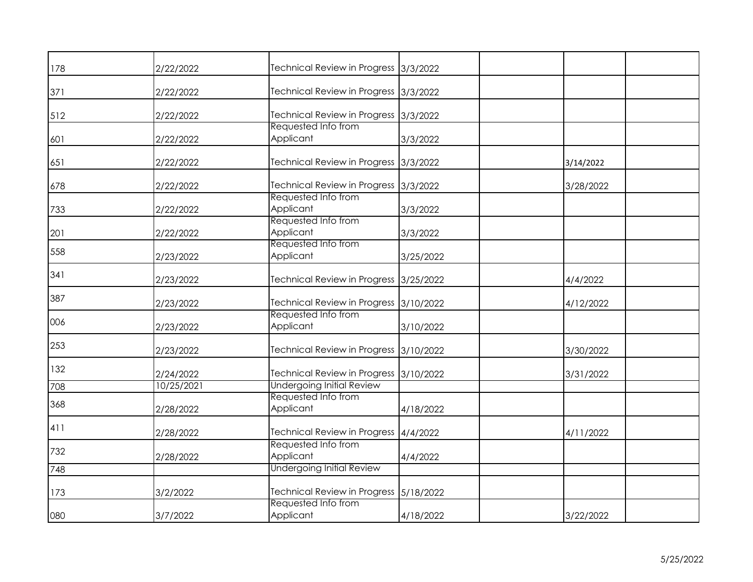| 178 | 2/22/2022  | Technical Review in Progress 3/3/2022   |           |           |
|-----|------------|-----------------------------------------|-----------|-----------|
| 371 | 2/22/2022  | Technical Review in Progress 3/3/2022   |           |           |
| 512 | 2/22/2022  | Technical Review in Progress 3/3/2022   |           |           |
| 601 | 2/22/2022  | Requested Info from<br>Applicant        | 3/3/2022  |           |
| 651 | 2/22/2022  | Technical Review in Progress 3/3/2022   |           | 3/14/2022 |
| 678 | 2/22/2022  | Technical Review in Progress 3/3/2022   |           | 3/28/2022 |
| 733 | 2/22/2022  | Requested Info from<br>Applicant        | 3/3/2022  |           |
| 201 | 2/22/2022  | Requested Info from<br>Applicant        | 3/3/2022  |           |
| 558 | 2/23/2022  | Requested Info from<br>Applicant        | 3/25/2022 |           |
| 341 | 2/23/2022  | Technical Review in Progress 3/25/2022  |           | 4/4/2022  |
| 387 | 2/23/2022  | Technical Review in Progress 3/10/2022  |           | 4/12/2022 |
| 006 | 2/23/2022  | Requested Info from<br>Applicant        | 3/10/2022 |           |
| 253 | 2/23/2022  | Technical Review in Progress 3/10/2022  |           | 3/30/2022 |
| 132 | 2/24/2022  | Technical Review in Progress 3/10/2022  |           | 3/31/2022 |
| 708 | 10/25/2021 | <b>Undergoing Initial Review</b>        |           |           |
| 368 | 2/28/2022  | Requested Info from<br>Applicant        | 4/18/2022 |           |
| 411 | 2/28/2022  | Technical Review in Progress   4/4/2022 |           | 4/11/2022 |
| 732 | 2/28/2022  | Requested Info from<br>Applicant        | 4/4/2022  |           |
| 748 |            | <b>Undergoing Initial Review</b>        |           |           |
| 173 | 3/2/2022   | Technical Review in Progress 5/18/2022  |           |           |
| 080 | 3/7/2022   | Requested Info from<br>Applicant        | 4/18/2022 | 3/22/2022 |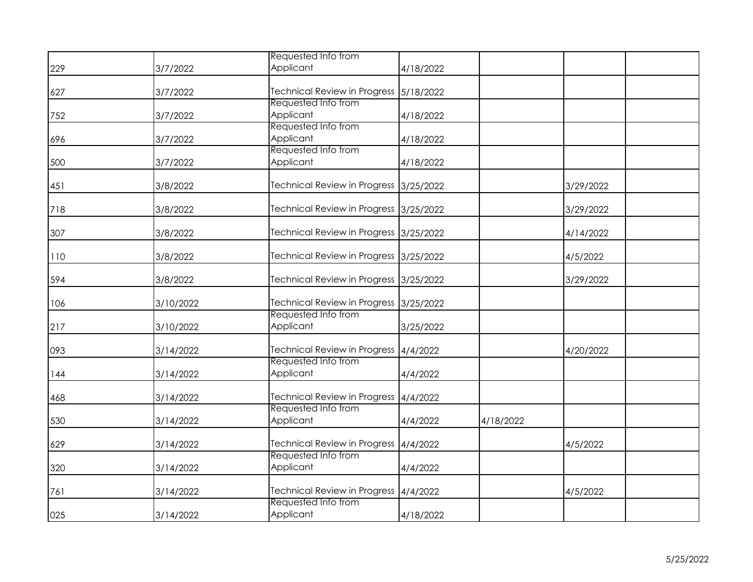|     |           | Requested Info from                     |           |           |           |  |
|-----|-----------|-----------------------------------------|-----------|-----------|-----------|--|
| 229 | 3/7/2022  | Applicant                               | 4/18/2022 |           |           |  |
| 627 | 3/7/2022  | Technical Review in Progress 5/18/2022  |           |           |           |  |
| 752 | 3/7/2022  | Requested Info from<br>Applicant        | 4/18/2022 |           |           |  |
| 696 | 3/7/2022  | Requested Info from<br>Applicant        | 4/18/2022 |           |           |  |
| 500 | 3/7/2022  | Requested Info from<br>Applicant        | 4/18/2022 |           |           |  |
| 451 | 3/8/2022  | Technical Review in Progress 3/25/2022  |           |           | 3/29/2022 |  |
| 718 | 3/8/2022  | Technical Review in Progress 3/25/2022  |           |           | 3/29/2022 |  |
| 307 | 3/8/2022  | Technical Review in Progress 3/25/2022  |           |           | 4/14/2022 |  |
| 110 | 3/8/2022  | Technical Review in Progress 3/25/2022  |           |           | 4/5/2022  |  |
| 594 | 3/8/2022  | Technical Review in Progress 3/25/2022  |           |           | 3/29/2022 |  |
| 106 | 3/10/2022 | Technical Review in Progress 3/25/2022  |           |           |           |  |
| 217 | 3/10/2022 | Requested Info from<br>Applicant        | 3/25/2022 |           |           |  |
| 093 | 3/14/2022 | Technical Review in Progress   4/4/2022 |           |           | 4/20/2022 |  |
| 144 | 3/14/2022 | Requested Info from<br>Applicant        | 4/4/2022  |           |           |  |
| 468 | 3/14/2022 | Technical Review in Progress 4/4/2022   |           |           |           |  |
| 530 | 3/14/2022 | Requested Info from<br>Applicant        | 4/4/2022  | 4/18/2022 |           |  |
| 629 | 3/14/2022 | Technical Review in Progress 4/4/2022   |           |           | 4/5/2022  |  |
| 320 | 3/14/2022 | Requested Info from<br>Applicant        | 4/4/2022  |           |           |  |
| 761 | 3/14/2022 | Technical Review in Progress 4/4/2022   |           |           | 4/5/2022  |  |
| 025 | 3/14/2022 | Requested Info from<br>Applicant        | 4/18/2022 |           |           |  |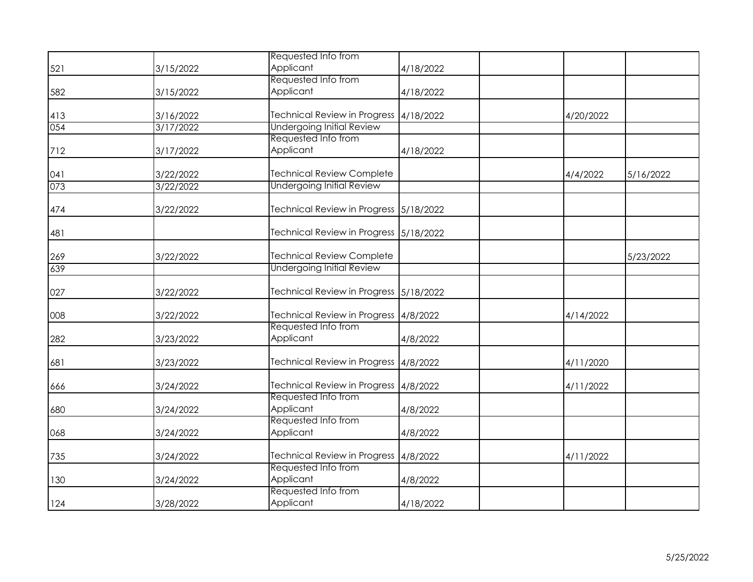|     |           | Requested Info from                    |           |           |           |
|-----|-----------|----------------------------------------|-----------|-----------|-----------|
| 521 | 3/15/2022 | Applicant                              | 4/18/2022 |           |           |
|     |           | Requested Info from                    |           |           |           |
| 582 | 3/15/2022 | Applicant                              | 4/18/2022 |           |           |
|     |           |                                        |           |           |           |
| 413 | 3/16/2022 | Technical Review in Progress 4/18/2022 |           | 4/20/2022 |           |
| 054 | 3/17/2022 | <b>Undergoing Initial Review</b>       |           |           |           |
|     |           | Requested Info from                    |           |           |           |
| 712 | 3/17/2022 | Applicant                              | 4/18/2022 |           |           |
| 041 | 3/22/2022 | <b>Technical Review Complete</b>       |           | 4/4/2022  | 5/16/2022 |
| 073 | 3/22/2022 | <b>Undergoing Initial Review</b>       |           |           |           |
|     |           |                                        |           |           |           |
| 474 | 3/22/2022 | Technical Review in Progress 5/18/2022 |           |           |           |
| 481 |           | Technical Review in Progress 5/18/2022 |           |           |           |
|     |           |                                        |           |           |           |
| 269 | 3/22/2022 | <b>Technical Review Complete</b>       |           |           | 5/23/2022 |
| 639 |           | <b>Undergoing Initial Review</b>       |           |           |           |
| 027 | 3/22/2022 | Technical Review in Progress 5/18/2022 |           |           |           |
|     |           |                                        |           |           |           |
| 008 | 3/22/2022 | Technical Review in Progress 4/8/2022  |           | 4/14/2022 |           |
|     |           | Requested Info from                    |           |           |           |
| 282 | 3/23/2022 | Applicant                              | 4/8/2022  |           |           |
| 681 | 3/23/2022 | Technical Review in Progress 4/8/2022  |           | 4/11/2020 |           |
| 666 | 3/24/2022 | Technical Review in Progress 4/8/2022  |           | 4/11/2022 |           |
|     |           | Requested Info from                    |           |           |           |
| 680 | 3/24/2022 | Applicant                              | 4/8/2022  |           |           |
|     |           | Requested Info from                    |           |           |           |
| 068 | 3/24/2022 | Applicant                              | 4/8/2022  |           |           |
| 735 | 3/24/2022 | Technical Review in Progress 4/8/2022  |           | 4/11/2022 |           |
|     |           | Requested Info from                    |           |           |           |
| 130 | 3/24/2022 | Applicant                              | 4/8/2022  |           |           |
|     |           | Requested Info from                    |           |           |           |
| 124 | 3/28/2022 | Applicant                              | 4/18/2022 |           |           |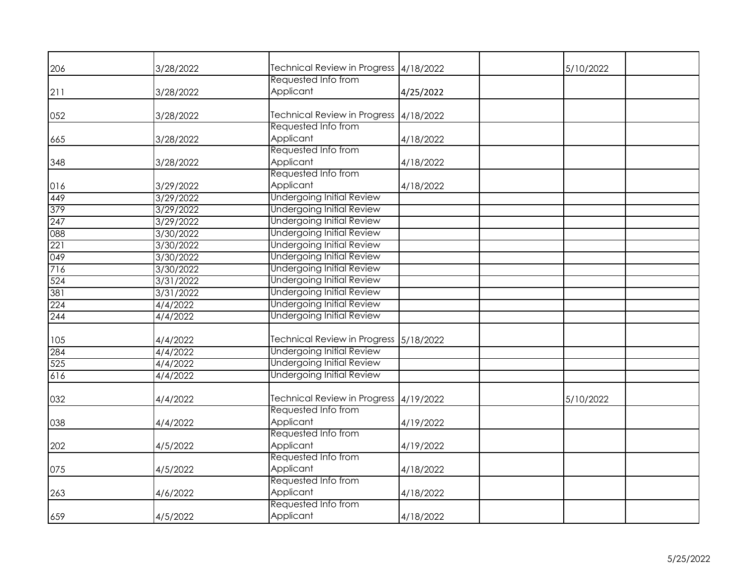| 206 | 3/28/2022 | Technical Review in Progress 4/18/2022 |           | 5/10/2022 |
|-----|-----------|----------------------------------------|-----------|-----------|
|     |           | Requested Info from                    |           |           |
| 211 | 3/28/2022 | Applicant                              | 4/25/2022 |           |
| 052 | 3/28/2022 | Technical Review in Progress 4/18/2022 |           |           |
|     |           | Requested Info from                    |           |           |
| 665 | 3/28/2022 | Applicant                              | 4/18/2022 |           |
|     |           | Requested Info from                    |           |           |
| 348 | 3/28/2022 | Applicant                              | 4/18/2022 |           |
|     |           | Requested Info from                    |           |           |
| 016 | 3/29/2022 | Applicant                              | 4/18/2022 |           |
| 449 | 3/29/2022 | <b>Undergoing Initial Review</b>       |           |           |
| 379 | 3/29/2022 | <b>Undergoing Initial Review</b>       |           |           |
| 247 | 3/29/2022 | <b>Undergoing Initial Review</b>       |           |           |
| 088 | 3/30/2022 | <b>Undergoing Initial Review</b>       |           |           |
| 221 | 3/30/2022 | <b>Undergoing Initial Review</b>       |           |           |
| 049 | 3/30/2022 | <b>Undergoing Initial Review</b>       |           |           |
| 716 | 3/30/2022 | <b>Undergoing Initial Review</b>       |           |           |
| 524 | 3/31/2022 | <b>Undergoing Initial Review</b>       |           |           |
| 381 | 3/31/2022 | <b>Undergoing Initial Review</b>       |           |           |
| 224 | 4/4/2022  | <b>Undergoing Initial Review</b>       |           |           |
| 244 | 4/4/2022  | <b>Undergoing Initial Review</b>       |           |           |
|     |           |                                        |           |           |
| 105 | 4/4/2022  | Technical Review in Progress 5/18/2022 |           |           |
| 284 | 4/4/2022  | <b>Undergoing Initial Review</b>       |           |           |
| 525 | 4/4/2022  | <b>Undergoing Initial Review</b>       |           |           |
| 616 | 4/4/2022  | <b>Undergoing Initial Review</b>       |           |           |
|     |           |                                        |           |           |
| 032 | 4/4/2022  | Technical Review in Progress 4/19/2022 |           | 5/10/2022 |
|     |           | Requested Info from                    |           |           |
| 038 | 4/4/2022  | Applicant                              | 4/19/2022 |           |
|     |           | Requested Info from                    |           |           |
| 202 | 4/5/2022  | Applicant                              | 4/19/2022 |           |
|     |           | Requested Info from                    |           |           |
| 075 | 4/5/2022  | Applicant                              | 4/18/2022 |           |
|     |           | Requested Info from                    |           |           |
| 263 | 4/6/2022  | Applicant                              | 4/18/2022 |           |
|     |           | Requested Info from                    |           |           |
| 659 | 4/5/2022  | Applicant                              | 4/18/2022 |           |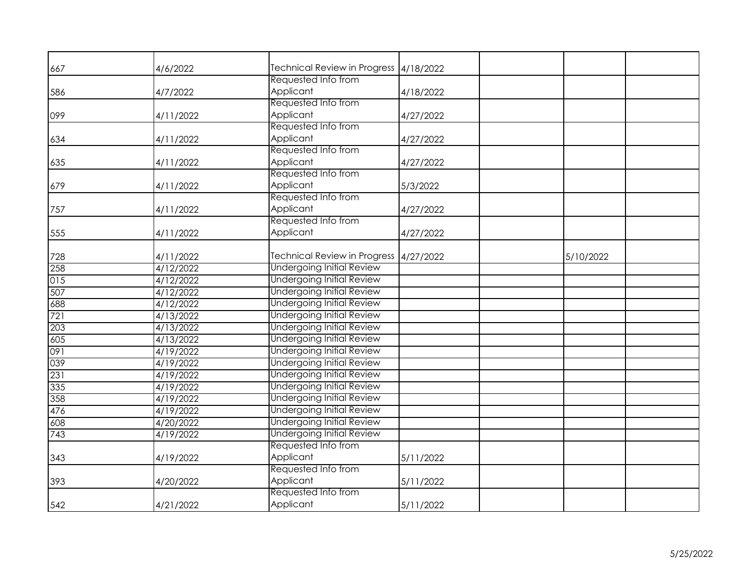| 667 | 4/6/2022  | Technical Review in Progress 4/18/2022 |           |           |  |
|-----|-----------|----------------------------------------|-----------|-----------|--|
|     |           | Requested Info from                    |           |           |  |
| 586 | 4/7/2022  | Applicant                              | 4/18/2022 |           |  |
|     |           | Requested Info from                    |           |           |  |
| 099 | 4/11/2022 | Applicant                              | 4/27/2022 |           |  |
|     |           | Requested Info from                    |           |           |  |
| 634 | 4/11/2022 | Applicant                              | 4/27/2022 |           |  |
|     |           | Requested Info from                    |           |           |  |
| 635 | 4/11/2022 | Applicant                              | 4/27/2022 |           |  |
|     |           | Requested Info from                    |           |           |  |
| 679 | 4/11/2022 | Applicant                              | 5/3/2022  |           |  |
|     |           | Requested Info from                    |           |           |  |
| 757 | 4/11/2022 | Applicant                              | 4/27/2022 |           |  |
|     |           | Requested Info from                    |           |           |  |
| 555 | 4/11/2022 | Applicant                              | 4/27/2022 |           |  |
|     |           |                                        |           |           |  |
| 728 | 4/11/2022 | Technical Review in Progress 4/27/2022 |           | 5/10/2022 |  |
| 258 | 4/12/2022 | <b>Undergoing Initial Review</b>       |           |           |  |
| 015 | 4/12/2022 | <b>Undergoing Initial Review</b>       |           |           |  |
| 507 | 4/12/2022 | <b>Undergoing Initial Review</b>       |           |           |  |
| 688 | 4/12/2022 | <b>Undergoing Initial Review</b>       |           |           |  |
| 721 | 4/13/2022 | <b>Undergoing Initial Review</b>       |           |           |  |
| 203 | 4/13/2022 | <b>Undergoing Initial Review</b>       |           |           |  |
| 605 | 4/13/2022 | <b>Undergoing Initial Review</b>       |           |           |  |
| 091 | 4/19/2022 | <b>Undergoing Initial Review</b>       |           |           |  |
| 039 | 4/19/2022 | <b>Undergoing Initial Review</b>       |           |           |  |
| 231 | 4/19/2022 | <b>Undergoing Initial Review</b>       |           |           |  |
| 335 | 4/19/2022 | <b>Undergoing Initial Review</b>       |           |           |  |
| 358 | 4/19/2022 | <b>Undergoing Initial Review</b>       |           |           |  |
| 476 | 4/19/2022 | <b>Undergoing Initial Review</b>       |           |           |  |
| 608 | 4/20/2022 | <b>Undergoing Initial Review</b>       |           |           |  |
| 743 | 4/19/2022 | <b>Undergoing Initial Review</b>       |           |           |  |
|     |           | Requested Info from                    |           |           |  |
| 343 | 4/19/2022 | Applicant                              | 5/11/2022 |           |  |
|     |           | Requested Info from                    |           |           |  |
| 393 | 4/20/2022 | Applicant                              | 5/11/2022 |           |  |
|     |           | Requested Info from                    |           |           |  |
| 542 | 4/21/2022 | Applicant                              | 5/11/2022 |           |  |